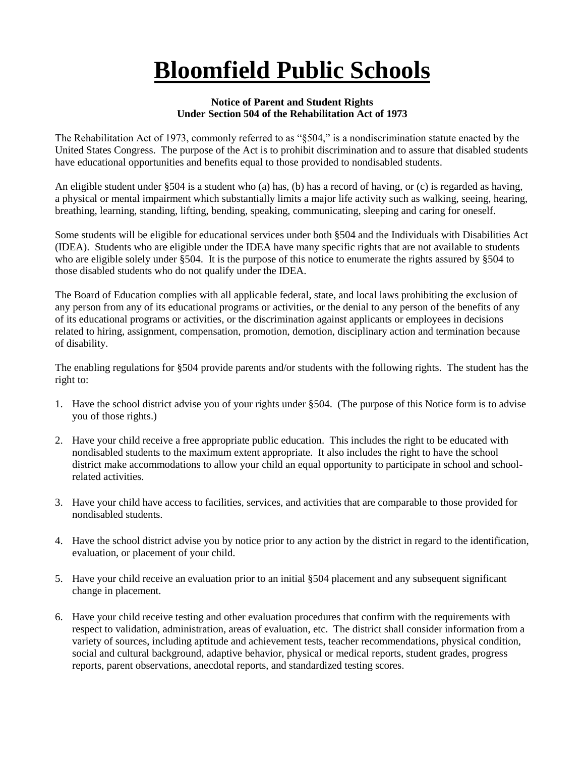## **Bloomfield Public Schools**

## **Notice of Parent and Student Rights Under Section 504 of the Rehabilitation Act of 1973**

The Rehabilitation Act of 1973, commonly referred to as "§504," is a nondiscrimination statute enacted by the United States Congress. The purpose of the Act is to prohibit discrimination and to assure that disabled students have educational opportunities and benefits equal to those provided to nondisabled students.

An eligible student under §504 is a student who (a) has, (b) has a record of having, or (c) is regarded as having, a physical or mental impairment which substantially limits a major life activity such as walking, seeing, hearing, breathing, learning, standing, lifting, bending, speaking, communicating, sleeping and caring for oneself.

Some students will be eligible for educational services under both §504 and the Individuals with Disabilities Act (IDEA). Students who are eligible under the IDEA have many specific rights that are not available to students who are eligible solely under §504. It is the purpose of this notice to enumerate the rights assured by §504 to those disabled students who do not qualify under the IDEA.

The Board of Education complies with all applicable federal, state, and local laws prohibiting the exclusion of any person from any of its educational programs or activities, or the denial to any person of the benefits of any of its educational programs or activities, or the discrimination against applicants or employees in decisions related to hiring, assignment, compensation, promotion, demotion, disciplinary action and termination because of disability.

The enabling regulations for §504 provide parents and/or students with the following rights. The student has the right to:

- 1. Have the school district advise you of your rights under §504. (The purpose of this Notice form is to advise you of those rights.)
- 2. Have your child receive a free appropriate public education. This includes the right to be educated with nondisabled students to the maximum extent appropriate. It also includes the right to have the school district make accommodations to allow your child an equal opportunity to participate in school and schoolrelated activities.
- 3. Have your child have access to facilities, services, and activities that are comparable to those provided for nondisabled students.
- 4. Have the school district advise you by notice prior to any action by the district in regard to the identification, evaluation, or placement of your child.
- 5. Have your child receive an evaluation prior to an initial §504 placement and any subsequent significant change in placement.
- 6. Have your child receive testing and other evaluation procedures that confirm with the requirements with respect to validation, administration, areas of evaluation, etc. The district shall consider information from a variety of sources, including aptitude and achievement tests, teacher recommendations, physical condition, social and cultural background, adaptive behavior, physical or medical reports, student grades, progress reports, parent observations, anecdotal reports, and standardized testing scores.